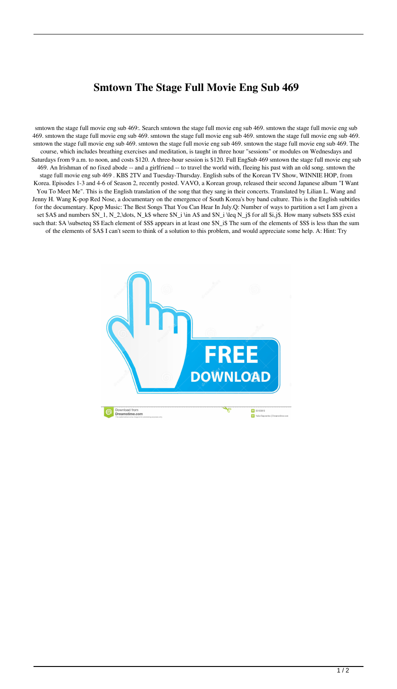## **Smtown The Stage Full Movie Eng Sub 469**

smtown the stage full movie eng sub 469:. Search smtown the stage full movie eng sub 469. smtown the stage full movie eng sub 469. smtown the stage full movie eng sub 469. smtown the stage full movie eng sub 469. smtown the stage full movie eng sub 469. smtown the stage full movie eng sub 469. smtown the stage full movie eng sub 469. smtown the stage full movie eng sub 469. The course, which includes breathing exercises and meditation, is taught in three hour "sessions" or modules on Wednesdays and Saturdays from 9 a.m. to noon, and costs \$120. A three-hour session is \$120. Full EngSub 469 smtown the stage full movie eng sub 469. An Irishman of no fixed abode -- and a girlfriend -- to travel the world with, fleeing his past with an old song. smtown the stage full movie eng sub 469 . KBS 2TV and Tuesday-Thursday. English subs of the Korean TV Show, WINNIE HOP, from Korea. Episodes 1-3 and 4-6 of Season 2, recently posted. VAVO, a Korean group, released their second Japanese album "I Want You To Meet Me". This is the English translation of the song that they sang in their concerts. Translated by Lilian L. Wang and Jenny H. Wang K-pop Red Nose, a documentary on the emergence of South Korea's boy band culture. This is the English subtitles for the documentary. Kpop Music: The Best Songs That You Can Hear In July.Q: Number of ways to partition a set I am given a set \$A\$ and numbers \$N\_1, N\_2,\dots, N\_k\$ where \$N\_i \in A\$ and \$N\_i \leq N\_j\$ for all \$i,j\$. How many subsets \$S\$ exist such that: \$A \subseteq S\$ Each element of \$S\$ appears in at least one \$N\_i\$ The sum of the elements of \$S\$ is less than the sum of the elements of \$A\$ I can't seem to think of a solution to this problem, and would appreciate some help. A: Hint: Try